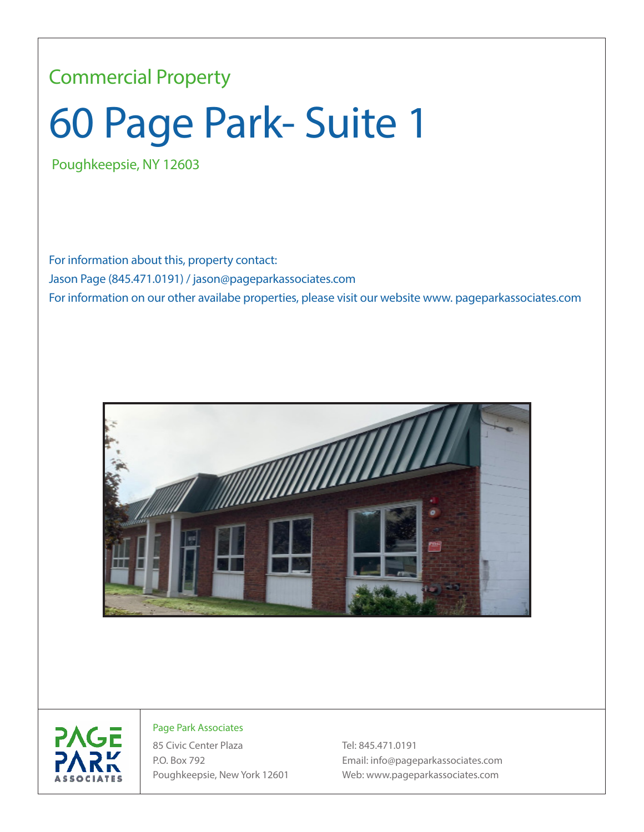## Commercial Property

## 60 Page Park- Suite 1

Poughkeepsie, NY 12603

For information about this, property contact: Jason Page (845.471.0191) / jason@pageparkassociates.com For information on our other availabe properties, please visit our website www. pageparkassociates.com





## Page Park Associates

85 Civic Center Plaza Tel: 845.471.0191

P.O. Box 792 Email: info@pageparkassociates.com Poughkeepsie, New York 12601 Web: www.pageparkassociates.com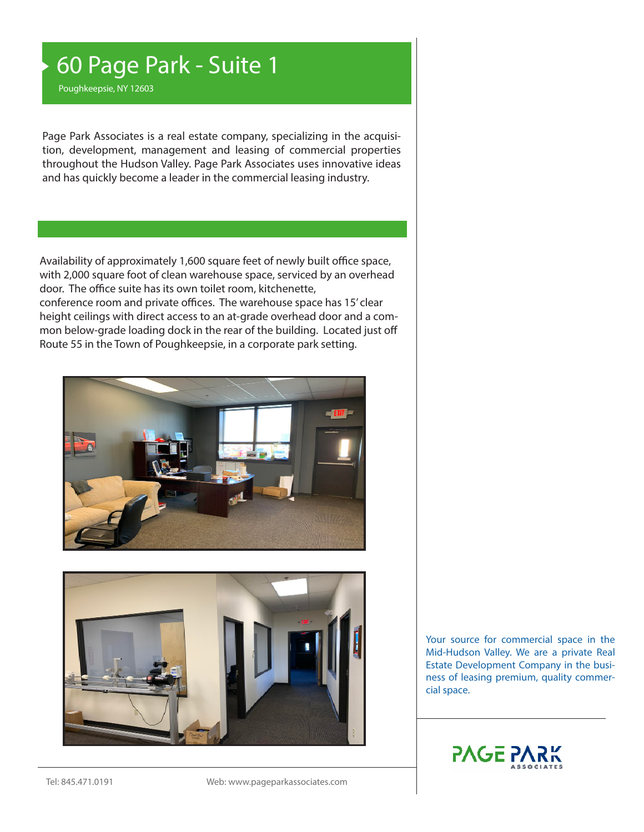## 60 Page Park - Suite 1

Poughkeepsie, NY 12603

Page Park Associates is a real estate company, specializing in the acquisition, development, management and leasing of commercial properties throughout the Hudson Valley. Page Park Associates uses innovative ideas and has quickly become a leader in the commercial leasing industry.

Availability of approximately 1,600 square feet of newly built office space, with 2,000 square foot of clean warehouse space, serviced by an overhead door. The office suite has its own toilet room, kitchenette, conference room and private offices. The warehouse space has 15' clear height ceilings with direct access to an at-grade overhead door and a common below-grade loading dock in the rear of the building. Located just off Route 55 in the Town of Poughkeepsie, in a corporate park setting.





Your source for commercial space in the Mid-Hudson Valley. We are a private Real Estate Development Company in the business of leasing premium, quality commercial space.